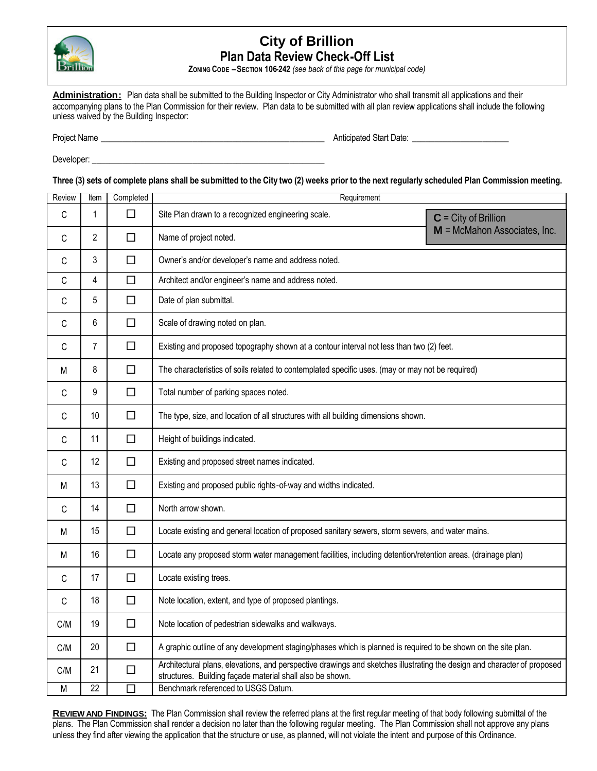

# **City of Brillion Plan Data Review Check-Off List**

**ZONING CODE –SECTION 106-242** *(see back of this page for municipal code)*

Administration: Plan data shall be submitted to the Building Inspector or City Administrator who shall transmit all applications and their accompanying plans to the Plan Commission for their review. Plan data to be submitted with all plan review applications shall include the following unless waived by the Building Inspector:

Project Name \_\_\_\_\_\_\_\_\_\_\_\_\_\_\_\_\_\_\_\_\_\_\_\_\_\_\_\_\_\_\_\_\_\_\_\_\_\_\_\_\_\_\_\_\_\_\_\_\_\_\_ Anticipated Start Date: \_\_\_\_\_\_\_\_\_\_\_\_\_\_\_\_\_\_\_\_\_\_

Developer:

**Three (3) sets of complete plans shall be submitted to the City two (2) weeks prior to the next regularly scheduled Plan Commission meeting.**

| Review | Item         | Completed | Requirement                                                                                                                                                                           |                              |
|--------|--------------|-----------|---------------------------------------------------------------------------------------------------------------------------------------------------------------------------------------|------------------------------|
| C      | $\mathbf{1}$ | □         | Site Plan drawn to a recognized engineering scale.                                                                                                                                    | $C = City of Brillion$       |
| C      | 2            | $\Box$    | Name of project noted.                                                                                                                                                                | M = McMahon Associates, Inc. |
| C      | 3            | $\Box$    | Owner's and/or developer's name and address noted.                                                                                                                                    |                              |
| C      | 4            | $\Box$    | Architect and/or engineer's name and address noted.                                                                                                                                   |                              |
| С      | 5            | $\Box$    | Date of plan submittal.                                                                                                                                                               |                              |
| С      | 6            | □         | Scale of drawing noted on plan.                                                                                                                                                       |                              |
| С      | 7            | $\Box$    | Existing and proposed topography shown at a contour interval not less than two (2) feet.                                                                                              |                              |
| M      | 8            | $\Box$    | The characteristics of soils related to contemplated specific uses. (may or may not be required)                                                                                      |                              |
| C      | 9            | $\Box$    | Total number of parking spaces noted.                                                                                                                                                 |                              |
| C      | 10           | $\Box$    | The type, size, and location of all structures with all building dimensions shown.                                                                                                    |                              |
| C      | 11           | $\Box$    | Height of buildings indicated.                                                                                                                                                        |                              |
| C      | 12           | $\Box$    | Existing and proposed street names indicated.                                                                                                                                         |                              |
| M      | 13           | $\Box$    | Existing and proposed public rights-of-way and widths indicated.                                                                                                                      |                              |
| С      | 14           | $\Box$    | North arrow shown.                                                                                                                                                                    |                              |
| M      | 15           | $\Box$    | Locate existing and general location of proposed sanitary sewers, storm sewers, and water mains.                                                                                      |                              |
| M      | 16           | $\Box$    | Locate any proposed storm water management facilities, including detention/retention areas. (drainage plan)                                                                           |                              |
| C      | 17           | $\Box$    | Locate existing trees.                                                                                                                                                                |                              |
| С      | 18           | $\Box$    | Note location, extent, and type of proposed plantings.                                                                                                                                |                              |
| C/M    | 19           | $\Box$    | Note location of pedestrian sidewalks and walkways.                                                                                                                                   |                              |
| C/M    | 20           | $\Box$    | A graphic outline of any development staging/phases which is planned is required to be shown on the site plan.                                                                        |                              |
| C/M    | 21           | $\Box$    | Architectural plans, elevations, and perspective drawings and sketches illustrating the design and character of proposed<br>structures. Building façade material shall also be shown. |                              |
| M      | 22           | $\Box$    | Benchmark referenced to USGS Datum.                                                                                                                                                   |                              |

**REVIEW AND FINDINGS:** The Plan Commission shall review the referred plans at the first regular meeting of that body following submittal of the plans. The Plan Commission shall render a decision no later than the following regular meeting. The Plan Commission shall not approve any plans unless they find after viewing the application that the structure or use, as planned, will not violate the intent and purpose of this Ordinance.